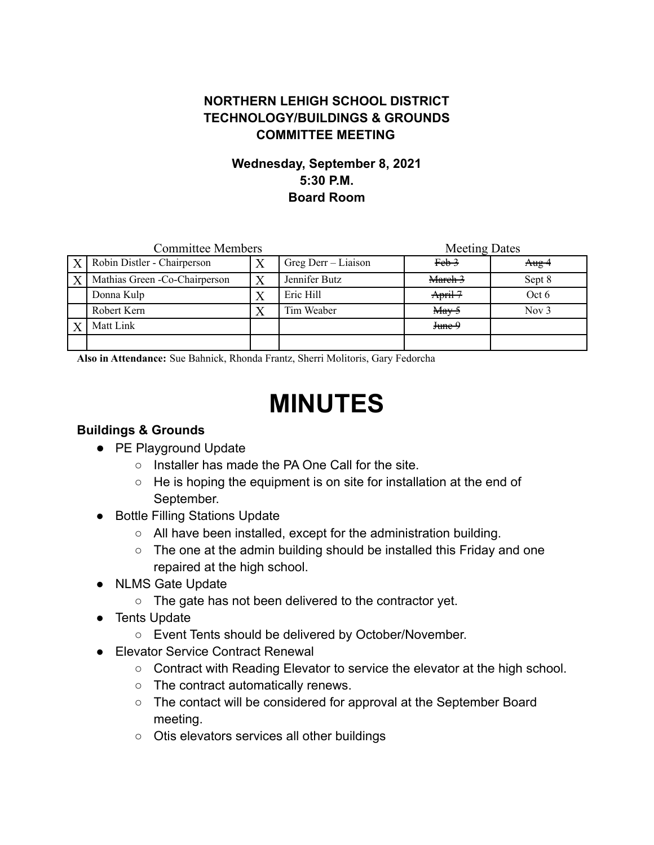## **NORTHERN LEHIGH SCHOOL DISTRICT TECHNOLOGY/BUILDINGS & GROUNDS COMMITTEE MEETING**

# **Wednesday, September 8, 2021 5:30 P.M. Board Room**

| <b>Committee Members</b> |                                |   |                     | <b>Meeting Dates</b>                  |         |
|--------------------------|--------------------------------|---|---------------------|---------------------------------------|---------|
| $\mathbf{X}$             | Robin Distler - Chairperson    |   | Greg Derr – Liaison | $Feb$ <sup>3</sup>                    | Aug 4   |
| X                        | Mathias Green - Co-Chairperson | X | Jennifer Butz       | March 3                               | Sept 8  |
|                          | Donna Kulp                     |   | Eric Hill           | $April-7$                             | Oct 6   |
|                          | Robert Kern                    |   | Tim Weaber          | $\frac{\text{May } 5}{\text{May } 5}$ | Nov $3$ |
|                          | Matt Link                      |   |                     | $J$ time $9$                          |         |
|                          |                                |   |                     |                                       |         |

**Also in Attendance:** Sue Bahnick, Rhonda Frantz, Sherri Molitoris, Gary Fedorcha

# **MINUTES**

#### **Buildings & Grounds**

- PE Playground Update
	- Installer has made the PA One Call for the site.
	- $\circ$  He is hoping the equipment is on site for installation at the end of September.
- Bottle Filling Stations Update
	- All have been installed, except for the administration building.
	- The one at the admin building should be installed this Friday and one repaired at the high school.
- NLMS Gate Update
	- The gate has not been delivered to the contractor yet.
- Tents Update
	- Event Tents should be delivered by October/November.
- Elevator Service Contract Renewal
	- Contract with Reading Elevator to service the elevator at the high school.
	- The contract automatically renews.
	- The contact will be considered for approval at the September Board meeting.
	- Otis elevators services all other buildings